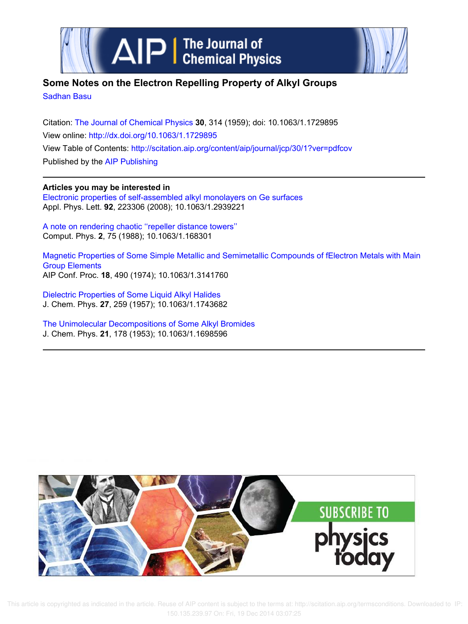



## **Some Notes on the Electron Repelling Property of Alkyl Groups**

Sadhan Basu

Citation: The Journal of Chemical Physics **30**, 314 (1959); doi: 10.1063/1.1729895 View online: http://dx.doi.org/10.1063/1.1729895 View Table of Contents: http://scitation.aip.org/content/aip/journal/jcp/30/1?ver=pdfcov Published by the AIP Publishing

**Articles you may be interested in** Electronic properties of self-assembled alkyl monolayers on Ge surfaces Appl. Phys. Lett. **92**, 223306 (2008); 10.1063/1.2939221

A note on rendering chaotic ''repeller distance towers'' Comput. Phys. **2**, 75 (1988); 10.1063/1.168301

Magnetic Properties of Some Simple Metallic and Semimetallic Compounds of fElectron Metals with Main Group Elements AIP Conf. Proc. **18**, 490 (1974); 10.1063/1.3141760

Dielectric Properties of Some Liquid Alkyl Halides J. Chem. Phys. **27**, 259 (1957); 10.1063/1.1743682

The Unimolecular Decompositions of Some Alkyl Bromides J. Chem. Phys. **21**, 178 (1953); 10.1063/1.1698596



 This article is copyrighted as indicated in the article. Reuse of AIP content is subject to the terms at: http://scitation.aip.org/termsconditions. Downloaded to IP: 150.135.239.97 On: Fri, 19 Dec 2014 03:07:25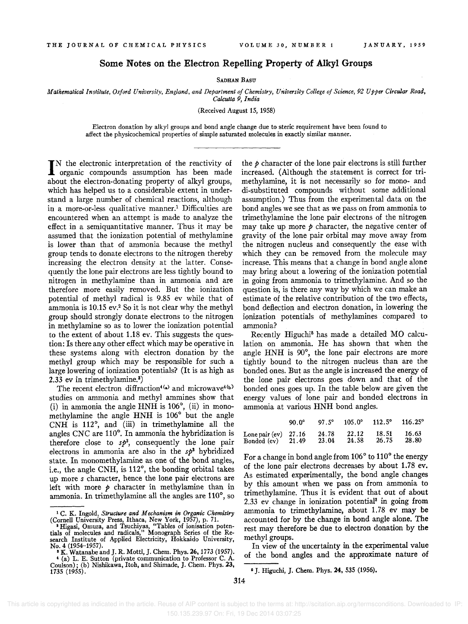## **Some Notes on the Electron Repelling Property of Alkyl Groups**

SADHAN BAsu

*Mathematical Institute, Oxford University, England, mtd Department of Chemistry, University College of Science,* 92 *Upper Circular Road, Calcutta* 9, *India* 

(Received August 15, 1958)

Electron donation by alkyl groups and bond angle change due to steric requirement have been found to affect the physicochemical properties of simple saturated molecules in exactly similar manner.

IN the electronic interpretation of the reactivity of organic compounds assumption has been made N the electronic interpretation of the reactivity of about the electron-donating property of alkyl groups, which has helped us to a considerable extent in understand a large number of chemical reactions, although in a more-or-less qualitative manner.<sup>1</sup> Difficulties are encountered when an attempt is made to analyze the effect in a semiquantitative manner. Thus it may be assumed that the ionization potential of methylamine is lower than that of ammonia because the methyl group tends to donate electrons to the nitrogen thereby increasing the electron density at the latter. Consequently the lone pair electrons are less tightly bound to nitrogen in methylamine than in ammonia and are therefore more easily removed. But the ionization potential of methyl radical is 9.85 ev while that of ammonia is 10.15 ev.2 So it is not clear why the methyl group should strongly donate electrons to the nitrogen in methylamine so as to lower the ionization potential to the extent of about 1.18 ev. This suggests the question: Is there any other effect which may be operative in these systems along with electron donation by the methyl group which may be responsible for such a large lowering of ionization potentials? (It is as high as 2.33 ev in trimethylamine. $a$ )

The recent electron diffraction<sup>4(a)</sup> and microwave<sup>4(b)</sup> studies on ammonia and methyl ammines show that (i) in ammonia the angle HNH is  $106^\circ$ , (ii) in monomethylamine the angle HNH is 106° but the angle CNH is 112°, and (iii) in trimethylamine all the angles CNC are 110°. In ammonia the hybridization is therefore close to  $s\hat{p}^3$ , consequently the lone pair electrons in ammonia are also in the *Sp3* hybridized state. In monomethylamine as one of the bond angles, i.e., the angle CNH, is 112°, the bonding orbital takes up more *s* character, hence the lone pair electrons are left with more *p* character in methylamine than in ammonia. In trimethylamine all the angles are 110°, so

the *p* character of the lone pair electrons is still further increased. (Although the statement is correct for trimethylamine, it is not necessarily so for mono- and di-substituted compounds without some additional assumption.) Thus from the experimental data on the bond angles we see that as we pass on from ammonia to trimethylamine the lone pair electrons of the nitrogen may take up more  $p$  character, the negative center of gravity of the lone pair orbital may move away from the nitrogen nucleus and consequently the ease with which they can be removed from the molecule may increase. This means that a change in bond angle alone may bring about a lowering of the ionization potential in going from ammonia to trimethylamine. And so the question is, is there any way by which we can make an estimate of the relative contribution of the two effects, bond deflection and electron donation, in lowering the ionization potentials of methylamines compared to ammonia?

Recently Higuchi<sup>5</sup> has made a detailed MO calculation on ammonia. He has shown that when the angle HNH is 90°, the lone pair electrons are more tightly bound to the nitrogen nucleus than are the bonded ones. But as the angle is increased the energy of the lone pair electrons goes down and that of the bonded ones goes up. In the table below are given the energy values of lone pair and bonded electrons in ammonia at various HNH bond angles.

| $90.0^{\circ}$ | $97.5^{\circ}$ $105.0^{\circ}$ $112.5^{\circ}$ $116.25^{\circ}$ |                |                |
|----------------|-----------------------------------------------------------------|----------------|----------------|
|                | 22.12<br>24.58                                                  | 18.51<br>26.75 | 16.63<br>28.80 |

For a change in bond angle from 106° to 110° the energy of the lone pair electrons decreases by about 1.78 ev. As estimated experimentally, the bond angle changes by this amount when we pass on from ammonia to trimethylamine. Thus it is evident that out of about 2.33 ev change in ionization potential<sup>3</sup> in going from ammonia to trimethylamine, about 1.78 ev may be accounted for by the change in bond angle alone. The rest may therefore be due to electron donation by the methyl groups.

In view of the uncertainty in the experimental value of the bond angles and the approximate nature of

<sup>1</sup>C. K. Ingold, *Structure and Mechanism in Organic Chemistry* 

<sup>(</sup>Cornell University Press, Ithaca, New York, 1957), p. 71.<br>
<sup>2</sup> Higasi, Omura, and Tsuchiyas, "Tables of ionisation potentials of molecules and radicals," Monograph Series of the Research Institute of Applied Electricity, No.4 (1954-1957). • K. Watanabe and J. R. Mottl, J. Chern. Phys. 26,1773 (1957).

<sup>(</sup>a) L. E. Sutton (private communication to Professor C. A. Coulson); (b) Nishikawa, Itoh, and Shimade, J. Chern. Phys. 23, 1735 (1955).

<sup>6</sup>J. Higuchi, J. Chern. Phys. 24, 535 (1956).